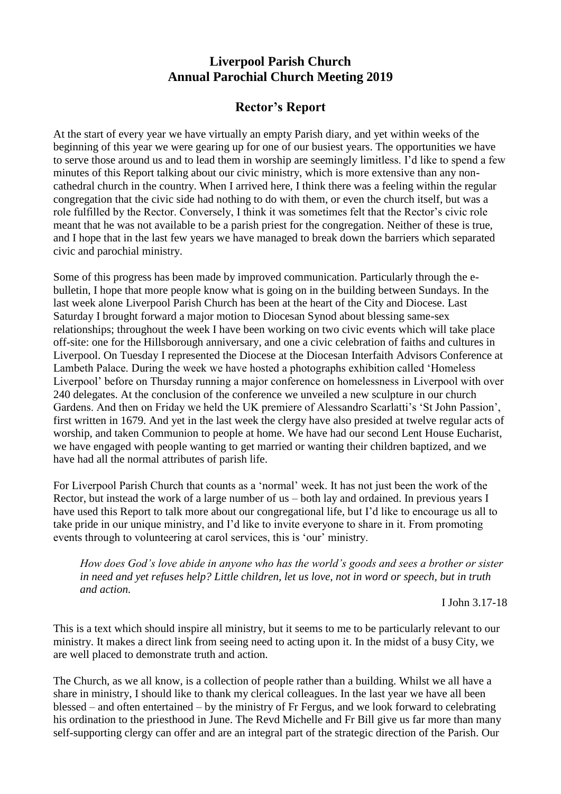## **Liverpool Parish Church Annual Parochial Church Meeting 2019**

## **Rector's Report**

At the start of every year we have virtually an empty Parish diary, and yet within weeks of the beginning of this year we were gearing up for one of our busiest years. The opportunities we have to serve those around us and to lead them in worship are seemingly limitless. I'd like to spend a few minutes of this Report talking about our civic ministry, which is more extensive than any noncathedral church in the country. When I arrived here, I think there was a feeling within the regular congregation that the civic side had nothing to do with them, or even the church itself, but was a role fulfilled by the Rector. Conversely, I think it was sometimes felt that the Rector's civic role meant that he was not available to be a parish priest for the congregation. Neither of these is true, and I hope that in the last few years we have managed to break down the barriers which separated civic and parochial ministry.

Some of this progress has been made by improved communication. Particularly through the ebulletin, I hope that more people know what is going on in the building between Sundays. In the last week alone Liverpool Parish Church has been at the heart of the City and Diocese. Last Saturday I brought forward a major motion to Diocesan Synod about blessing same-sex relationships; throughout the week I have been working on two civic events which will take place off-site: one for the Hillsborough anniversary, and one a civic celebration of faiths and cultures in Liverpool. On Tuesday I represented the Diocese at the Diocesan Interfaith Advisors Conference at Lambeth Palace. During the week we have hosted a photographs exhibition called 'Homeless Liverpool' before on Thursday running a major conference on homelessness in Liverpool with over 240 delegates. At the conclusion of the conference we unveiled a new sculpture in our church Gardens. And then on Friday we held the UK premiere of Alessandro Scarlatti's 'St John Passion', first written in 1679. And yet in the last week the clergy have also presided at twelve regular acts of worship, and taken Communion to people at home. We have had our second Lent House Eucharist, we have engaged with people wanting to get married or wanting their children baptized, and we have had all the normal attributes of parish life.

For Liverpool Parish Church that counts as a 'normal' week. It has not just been the work of the Rector, but instead the work of a large number of us – both lay and ordained. In previous years I have used this Report to talk more about our congregational life, but I'd like to encourage us all to take pride in our unique ministry, and I'd like to invite everyone to share in it. From promoting events through to volunteering at carol services, this is 'our' ministry.

*How does God's love abide in anyone who has the world's goods and sees a brother or sister in need and yet refuses help? Little children, let us love, not in word or speech, but in truth and action.*

I John 3.17-18

This is a text which should inspire all ministry, but it seems to me to be particularly relevant to our ministry. It makes a direct link from seeing need to acting upon it. In the midst of a busy City, we are well placed to demonstrate truth and action.

The Church, as we all know, is a collection of people rather than a building. Whilst we all have a share in ministry, I should like to thank my clerical colleagues. In the last year we have all been blessed – and often entertained – by the ministry of Fr Fergus, and we look forward to celebrating his ordination to the priesthood in June. The Revd Michelle and Fr Bill give us far more than many self-supporting clergy can offer and are an integral part of the strategic direction of the Parish. Our